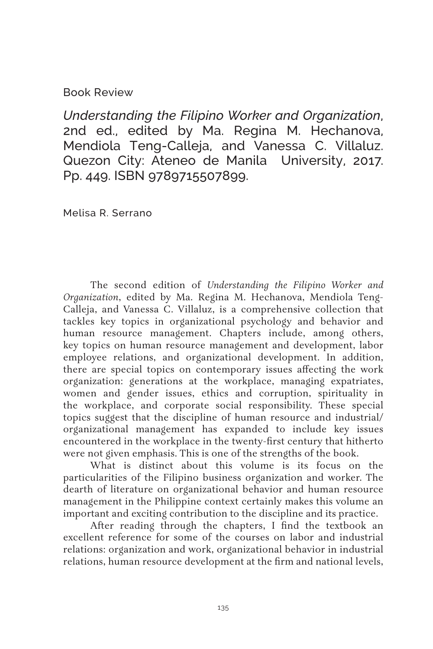## Book Review

*Understanding the Filipino Worker and Organization*, 2nd ed., edited by Ma. Regina M. Hechanova, Mendiola Teng-Calleja, and Vanessa C. Villaluz. Quezon City: Ateneo de Manila University, 2017. Pp. 449. ISBN 9789715507899.

Melisa R. Serrano

The second edition of *Understanding the Filipino Worker and Organization*, edited by Ma. Regina M. Hechanova, Mendiola Teng-Calleja, and Vanessa C. Villaluz, is a comprehensive collection that tackles key topics in organizational psychology and behavior and human resource management. Chapters include, among others, key topics on human resource management and development, labor employee relations, and organizational development. In addition, there are special topics on contemporary issues affecting the work organization: generations at the workplace, managing expatriates, women and gender issues, ethics and corruption, spirituality in the workplace, and corporate social responsibility. These special topics suggest that the discipline of human resource and industrial/ organizational management has expanded to include key issues encountered in the workplace in the twenty-first century that hitherto were not given emphasis. This is one of the strengths of the book.

What is distinct about this volume is its focus on the particularities of the Filipino business organization and worker. The dearth of literature on organizational behavior and human resource management in the Philippine context certainly makes this volume an important and exciting contribution to the discipline and its practice.

After reading through the chapters, I find the textbook an excellent reference for some of the courses on labor and industrial relations: organization and work, organizational behavior in industrial relations, human resource development at the firm and national levels,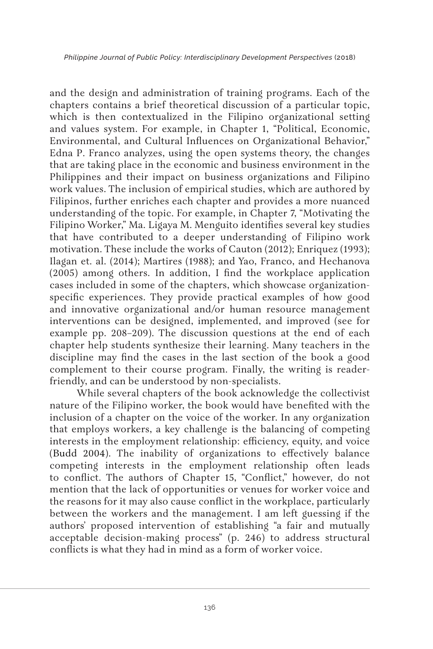and the design and administration of training programs. Each of the chapters contains a brief theoretical discussion of a particular topic, which is then contextualized in the Filipino organizational setting and values system. For example, in Chapter 1, "Political, Economic, Environmental, and Cultural Influences on Organizational Behavior," Edna P. Franco analyzes, using the open systems theory, the changes that are taking place in the economic and business environment in the Philippines and their impact on business organizations and Filipino work values. The inclusion of empirical studies, which are authored by Filipinos, further enriches each chapter and provides a more nuanced understanding of the topic. For example, in Chapter 7, "Motivating the Filipino Worker," Ma. Ligaya M. Menguito identifies several key studies that have contributed to a deeper understanding of Filipino work motivation. These include the works of Cauton (2012); Enriquez (1993); Ilagan et. al. (2014); Martires (1988); and Yao, Franco, and Hechanova (2005) among others. In addition, I find the workplace application cases included in some of the chapters, which showcase organizationspecific experiences. They provide practical examples of how good and innovative organizational and/or human resource management interventions can be designed, implemented, and improved (see for example pp. 208–209). The discussion questions at the end of each chapter help students synthesize their learning. Many teachers in the discipline may find the cases in the last section of the book a good complement to their course program. Finally, the writing is readerfriendly, and can be understood by non-specialists.

While several chapters of the book acknowledge the collectivist nature of the Filipino worker, the book would have benefited with the inclusion of a chapter on the voice of the worker. In any organization that employs workers, a key challenge is the balancing of competing interests in the employment relationship: efficiency, equity, and voice (Budd 2004). The inability of organizations to effectively balance competing interests in the employment relationship often leads to conflict. The authors of Chapter 15, "Conflict," however, do not mention that the lack of opportunities or venues for worker voice and the reasons for it may also cause conflict in the workplace, particularly between the workers and the management. I am left guessing if the authors' proposed intervention of establishing "a fair and mutually acceptable decision-making process" (p. 246) to address structural conflicts is what they had in mind as a form of worker voice.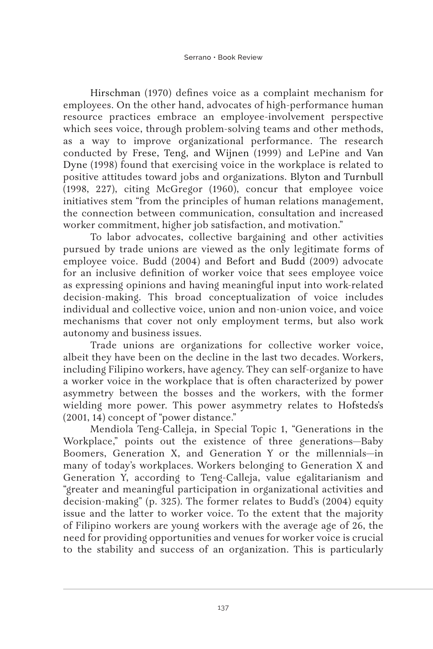Hirschman (1970) defines voice as a complaint mechanism for employees. On the other hand, advocates of high-performance human resource practices embrace an employee-involvement perspective which sees voice, through problem-solving teams and other methods, as a way to improve organizational performance. The research conducted by Frese, Teng, and Wijnen (1999) and LePine and Van Dyne (1998) found that exercising voice in the workplace is related to positive attitudes toward jobs and organizations. Blyton and Turnbull (1998, 227), citing McGregor (1960), concur that employee voice initiatives stem "from the principles of human relations management, the connection between communication, consultation and increased worker commitment, higher job satisfaction, and motivation."

To labor advocates, collective bargaining and other activities pursued by trade unions are viewed as the only legitimate forms of employee voice. Budd (2004) and Befort and Budd (2009) advocate for an inclusive definition of worker voice that sees employee voice as expressing opinions and having meaningful input into work-related decision-making. This broad conceptualization of voice includes individual and collective voice, union and non-union voice, and voice mechanisms that cover not only employment terms, but also work autonomy and business issues.

Trade unions are organizations for collective worker voice, albeit they have been on the decline in the last two decades. Workers, including Filipino workers, have agency. They can self-organize to have a worker voice in the workplace that is often characterized by power asymmetry between the bosses and the workers, with the former wielding more power. This power asymmetry relates to Hofsteds's (2001, 14) concept of "power distance."

Mendiola Teng-Calleja, in Special Topic 1, "Generations in the Workplace," points out the existence of three generations—Baby Boomers, Generation X, and Generation Y or the millennials—in many of today's workplaces. Workers belonging to Generation X and Generation Y, according to Teng-Calleja, value egalitarianism and "greater and meaningful participation in organizational activities and decision-making" (p. 325). The former relates to Budd's (2004) equity issue and the latter to worker voice. To the extent that the majority of Filipino workers are young workers with the average age of 26, the need for providing opportunities and venues for worker voice is crucial to the stability and success of an organization. This is particularly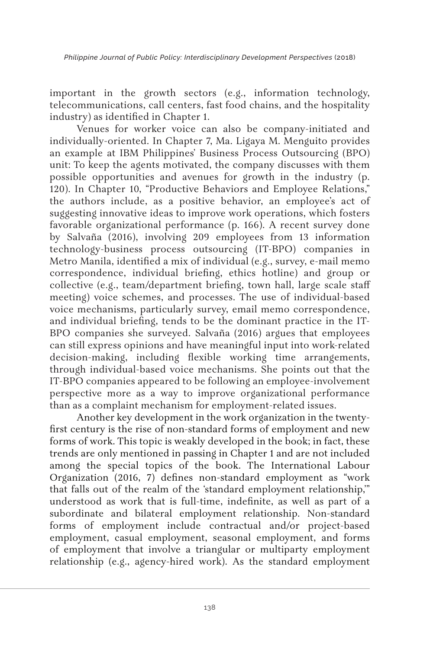important in the growth sectors (e.g., information technology, telecommunications, call centers, fast food chains, and the hospitality industry) as identified in Chapter 1.

Venues for worker voice can also be company-initiated and individually-oriented. In Chapter 7, Ma. Ligaya M. Menguito provides an example at IBM Philippines' Business Process Outsourcing (BPO) unit: To keep the agents motivated, the company discusses with them possible opportunities and avenues for growth in the industry (p. 120). In Chapter 10, "Productive Behaviors and Employee Relations," the authors include, as a positive behavior, an employee's act of suggesting innovative ideas to improve work operations, which fosters favorable organizational performance (p. 166). A recent survey done by Salvaña (2016), involving 209 employees from 13 information technology-business process outsourcing (IT-BPO) companies in Metro Manila, identified a mix of individual (e.g., survey, e-mail memo correspondence, individual briefing, ethics hotline) and group or collective (e.g., team/department briefing, town hall, large scale staff meeting) voice schemes, and processes. The use of individual-based voice mechanisms, particularly survey, email memo correspondence, and individual briefing, tends to be the dominant practice in the IT-BPO companies she surveyed. Salvaña (2016) argues that employees can still express opinions and have meaningful input into work-related decision-making, including flexible working time arrangements, through individual-based voice mechanisms. She points out that the IT-BPO companies appeared to be following an employee-involvement perspective more as a way to improve organizational performance than as a complaint mechanism for employment-related issues.

Another key development in the work organization in the twentyfirst century is the rise of non-standard forms of employment and new forms of work. This topic is weakly developed in the book; in fact, these trends are only mentioned in passing in Chapter 1 and are not included among the special topics of the book. The International Labour Organization (2016, 7) defines non-standard employment as "work that falls out of the realm of the 'standard employment relationship,'" understood as work that is full-time, indefinite, as well as part of a subordinate and bilateral employment relationship. Non-standard forms of employment include contractual and/or project-based employment, casual employment, seasonal employment, and forms of employment that involve a triangular or multiparty employment relationship (e.g., agency-hired work). As the standard employment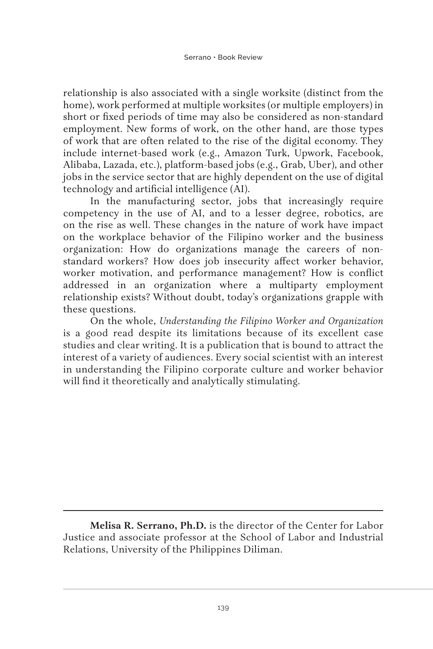relationship is also associated with a single worksite (distinct from the home), work performed at multiple worksites (or multiple employers) in short or fixed periods of time may also be considered as non-standard employment. New forms of work, on the other hand, are those types of work that are often related to the rise of the digital economy. They include internet-based work (e.g., Amazon Turk, Upwork, Facebook, Alibaba, Lazada, etc.), platform-based jobs (e.g., Grab, Uber), and other jobs in the service sector that are highly dependent on the use of digital technology and artificial intelligence (AI).

In the manufacturing sector, jobs that increasingly require competency in the use of AI, and to a lesser degree, robotics, are on the rise as well. These changes in the nature of work have impact on the workplace behavior of the Filipino worker and the business organization: How do organizations manage the careers of nonstandard workers? How does job insecurity affect worker behavior, worker motivation, and performance management? How is conflict addressed in an organization where a multiparty employment relationship exists? Without doubt, today's organizations grapple with these questions.

On the whole, *Understanding the Filipino Worker and Organization* is a good read despite its limitations because of its excellent case studies and clear writing. It is a publication that is bound to attract the interest of a variety of audiences. Every social scientist with an interest in understanding the Filipino corporate culture and worker behavior will find it theoretically and analytically stimulating.

**Melisa R. Serrano, Ph.D.** is the director of the Center for Labor Justice and associate professor at the School of Labor and Industrial Relations, University of the Philippines Diliman.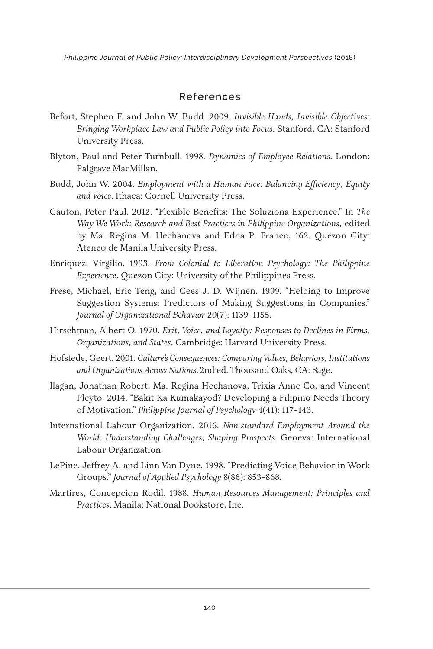*Philippine Journal of Public Policy: Interdisciplinary Development Perspectives* (2018)

## **References**

- Befort, Stephen F. and John W. Budd. 2009. *Invisible Hands, Invisible Objectives: Bringing Workplace Law and Public Policy into Focus*. Stanford, CA: Stanford University Press.
- Blyton, Paul and Peter Turnbull. 1998. *Dynamics of Employee Relations.* London: Palgrave MacMillan.
- Budd, John W. 2004. *Employment with a Human Face: Balancing Efficiency, Equity and Voice*. Ithaca: Cornell University Press.
- Cauton, Peter Paul. 2012. "Flexible Benefits: The Soluziona Experience." In *The Way We Work: Research and Best Practices in Philippine Organizations,* edited by Ma. Regina M. Hechanova and Edna P. Franco, 162. Quezon City: Ateneo de Manila University Press.
- Enriquez, Virgilio. 1993. *From Colonial to Liberation Psychology: The Philippine Experience*. Quezon City: University of the Philippines Press.
- Frese, Michael, Eric Teng, and Cees J. D. Wijnen. 1999. "Helping to Improve Suggestion Systems: Predictors of Making Suggestions in Companies." *Journal of Organizational Behavior* 20(7): 1139–1155.
- Hirschman, Albert O. 1970. *Exit, Voice, and Loyalty: Responses to Declines in Firms, Organizations, and States*. Cambridge: Harvard University Press.
- Hofstede, Geert. 2001. *Culture's Consequences: Comparing Values, Behaviors, Institutions and Organizations Across Nations*.2nd ed. Thousand Oaks, CA: Sage.
- Ilagan, Jonathan Robert, Ma. Regina Hechanova, Trixia Anne Co, and Vincent Pleyto. 2014. "Bakit Ka Kumakayod? Developing a Filipino Needs Theory of Motivation." *Philippine Journal of Psychology* 4(41): 117–143.
- International Labour Organization. 2016. *Non-standard Employment Around the World: Understanding Challenges, Shaping Prospects*. Geneva: International Labour Organization.
- LePine, Jeffrey A. and Linn Van Dyne. 1998. "Predicting Voice Behavior in Work Groups." *Journal of Applied Psychology* 8(86): 853–868.
- Martires, Concepcion Rodil. 1988. *Human Resources Management: Principles and Practices*. Manila: National Bookstore, Inc.